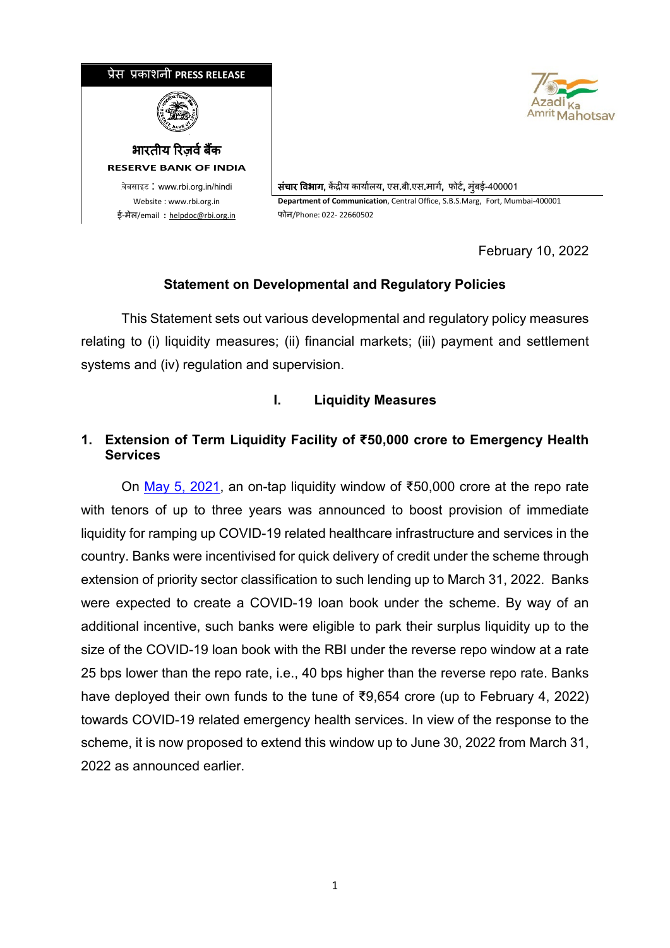



.वेबसाइट : www.rbi.org.in/hindi संचार विभाग, केंद्रीय कार्यालय, एस.बी.एस.मार्ग, फोर्ट, मंबई-400001 Website : www.rbi.org.in **Department of Communication**, Central Office, S.B.S.Marg, Fort, Mumbai-400001

February 10, 2022

# **Statement on Developmental and Regulatory Policies**

This Statement sets out various developmental and regulatory policy measures relating to (i) liquidity measures; (ii) financial markets; (iii) payment and settlement systems and (iv) regulation and supervision.

# **I. Liquidity Measures**

# **1. Extension of Term Liquidity Facility of ₹50,000 crore to Emergency Health Services**

On [May 5, 2021,](https://www.rbi.org.in/Scripts/BS_PressReleaseDisplay.aspx?prid=51526) an on-tap liquidity window of ₹50,000 crore at the repo rate with tenors of up to three years was announced to boost provision of immediate liquidity for ramping up COVID-19 related healthcare infrastructure and services in the country. Banks were incentivised for quick delivery of credit under the scheme through extension of priority sector classification to such lending up to March 31, 2022. Banks were expected to create a COVID-19 loan book under the scheme. By way of an additional incentive, such banks were eligible to park their surplus liquidity up to the size of the COVID-19 loan book with the RBI under the reverse repo window at a rate 25 bps lower than the repo rate, i.e., 40 bps higher than the reverse repo rate. Banks have deployed their own funds to the tune of ₹9,654 crore (up to February 4, 2022) towards COVID-19 related emergency health services. In view of the response to the scheme, it is now proposed to extend this window up to June 30, 2022 from March 31, 2022 as announced earlier.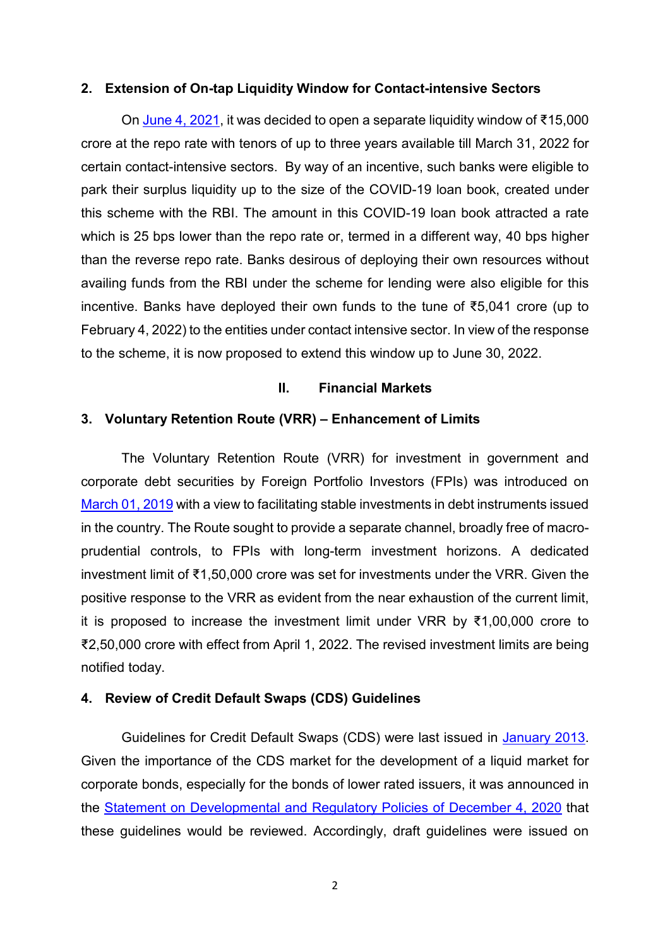### **2. Extension of On-tap Liquidity Window for Contact-intensive Sectors**

On [June 4, 2021](https://www.rbi.org.in/Scripts/BS_PressReleaseDisplay.aspx?prid=51687), it was decided to open a separate liquidity window of ₹15,000 crore at the repo rate with tenors of up to three years available till March 31, 2022 for certain contact-intensive sectors. By way of an incentive, such banks were eligible to park their surplus liquidity up to the size of the COVID-19 loan book, created under this scheme with the RBI. The amount in this COVID-19 loan book attracted a rate which is 25 bps lower than the repo rate or, termed in a different way, 40 bps higher than the reverse repo rate. Banks desirous of deploying their own resources without availing funds from the RBI under the scheme for lending were also eligible for this incentive. Banks have deployed their own funds to the tune of ₹5,041 crore (up to February 4, 2022) to the entities under contact intensive sector. In view of the response to the scheme, it is now proposed to extend this window up to June 30, 2022.

### **II. Financial Markets**

### **3. Voluntary Retention Route (VRR) – Enhancement of Limits**

The Voluntary Retention Route (VRR) for investment in government and corporate debt securities by Foreign Portfolio Investors (FPIs) was introduced on [March 01, 2019](https://www.rbi.org.in/Scripts/BS_PressReleaseDisplay.aspx?prid=46444) with a view to facilitating stable investments in debt instruments issued in the country. The Route sought to provide a separate channel, broadly free of macroprudential controls, to FPIs with long-term investment horizons. A dedicated investment limit of ₹1,50,000 crore was set for investments under the VRR. Given the positive response to the VRR as evident from the near exhaustion of the current limit, it is proposed to increase the investment limit under VRR by ₹1,00,000 crore to ₹2,50,000 crore with effect from April 1, 2022. The revised investment limits are being notified today.

#### **4. Review of Credit Default Swaps (CDS) Guidelines**

Guidelines for Credit Default Swaps (CDS) were last issued in [January 2013.](https://www.rbi.org.in/Scripts/NotificationUser.aspx?Id=7793&Mode=0) Given the importance of the CDS market for the development of a liquid market for corporate bonds, especially for the bonds of lower rated issuers, it was announced in the [Statement on Developmental and Regulatory Policies of December 4, 2020](https://www.rbi.org.in/Scripts/BS_PressReleaseDisplay.aspx?prid=50748) that these guidelines would be reviewed. Accordingly, draft guidelines were issued on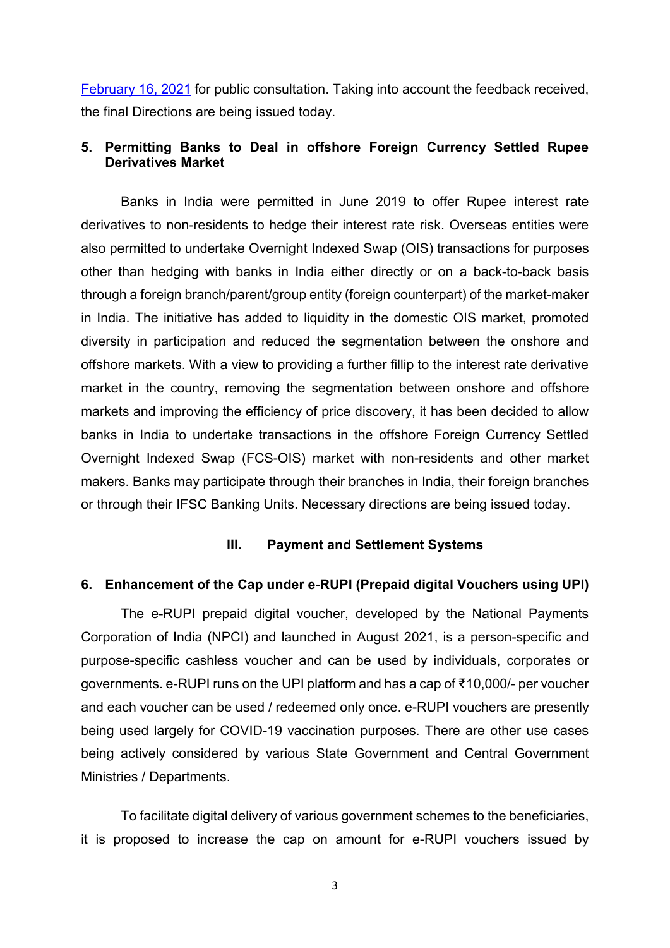[February 16, 2021](https://www.rbi.org.in/Scripts/BS_PressReleaseDisplay.aspx?prid=51138) for public consultation. Taking into account the feedback received, the final Directions are being issued today.

## **5. Permitting Banks to Deal in offshore Foreign Currency Settled Rupee Derivatives Market**

Banks in India were permitted in June 2019 to offer Rupee interest rate derivatives to non-residents to hedge their interest rate risk. Overseas entities were also permitted to undertake Overnight Indexed Swap (OIS) transactions for purposes other than hedging with banks in India either directly or on a back-to-back basis through a foreign branch/parent/group entity (foreign counterpart) of the market-maker in India. The initiative has added to liquidity in the domestic OIS market, promoted diversity in participation and reduced the segmentation between the onshore and offshore markets. With a view to providing a further fillip to the interest rate derivative market in the country, removing the segmentation between onshore and offshore markets and improving the efficiency of price discovery, it has been decided to allow banks in India to undertake transactions in the offshore Foreign Currency Settled Overnight Indexed Swap (FCS-OIS) market with non-residents and other market makers. Banks may participate through their branches in India, their foreign branches or through their IFSC Banking Units. Necessary directions are being issued today.

## **III. Payment and Settlement Systems**

## **6. Enhancement of the Cap under e-RUPI (Prepaid digital Vouchers using UPI)**

The e-RUPI prepaid digital voucher, developed by the National Payments Corporation of India (NPCI) and launched in August 2021, is a person-specific and purpose-specific cashless voucher and can be used by individuals, corporates or governments. e-RUPI runs on the UPI platform and has a cap of ₹10,000/- per voucher and each voucher can be used / redeemed only once. e-RUPI vouchers are presently being used largely for COVID-19 vaccination purposes. There are other use cases being actively considered by various State Government and Central Government Ministries / Departments.

To facilitate digital delivery of various government schemes to the beneficiaries, it is proposed to increase the cap on amount for e-RUPI vouchers issued by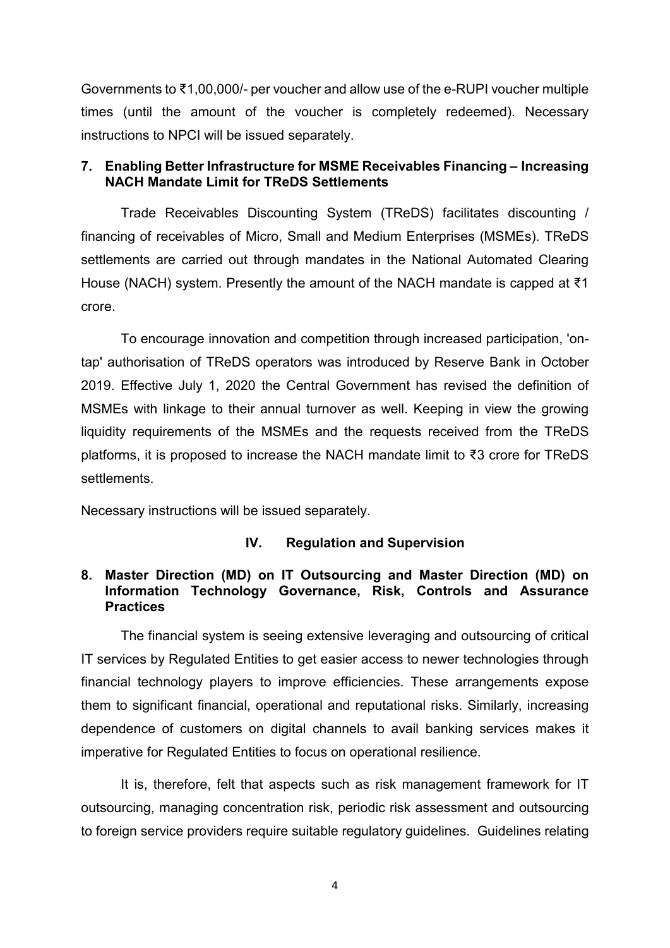Governments to ₹1,00,000/- per voucher and allow use of the e-RUPI voucher multiple times (until the amount of the voucher is completely redeemed). Necessary instructions to NPCI will be issued separately.

### **7. Enabling Better Infrastructure for MSME Receivables Financing – Increasing NACH Mandate Limit for TReDS Settlements**

Trade Receivables Discounting System (TReDS) facilitates discounting / financing of receivables of Micro, Small and Medium Enterprises (MSMEs). TReDS settlements are carried out through mandates in the National Automated Clearing House (NACH) system. Presently the amount of the NACH mandate is capped at ₹1 crore.

To encourage innovation and competition through increased participation, 'ontap' authorisation of TReDS operators was introduced by Reserve Bank in October 2019. Effective July 1, 2020 the Central Government has revised the definition of MSMEs with linkage to their annual turnover as well. Keeping in view the growing liquidity requirements of the MSMEs and the requests received from the TReDS platforms, it is proposed to increase the NACH mandate limit to ₹3 crore for TReDS settlements.

Necessary instructions will be issued separately.

### **IV. Regulation and Supervision**

## **8. Master Direction (MD) on IT Outsourcing and Master Direction (MD) on Information Technology Governance, Risk, Controls and Assurance Practices**

The financial system is seeing extensive leveraging and outsourcing of critical IT services by Regulated Entities to get easier access to newer technologies through financial technology players to improve efficiencies. These arrangements expose them to significant financial, operational and reputational risks. Similarly, increasing dependence of customers on digital channels to avail banking services makes it imperative for Regulated Entities to focus on operational resilience.

It is, therefore, felt that aspects such as risk management framework for IT outsourcing, managing concentration risk, periodic risk assessment and outsourcing to foreign service providers require suitable regulatory guidelines. Guidelines relating